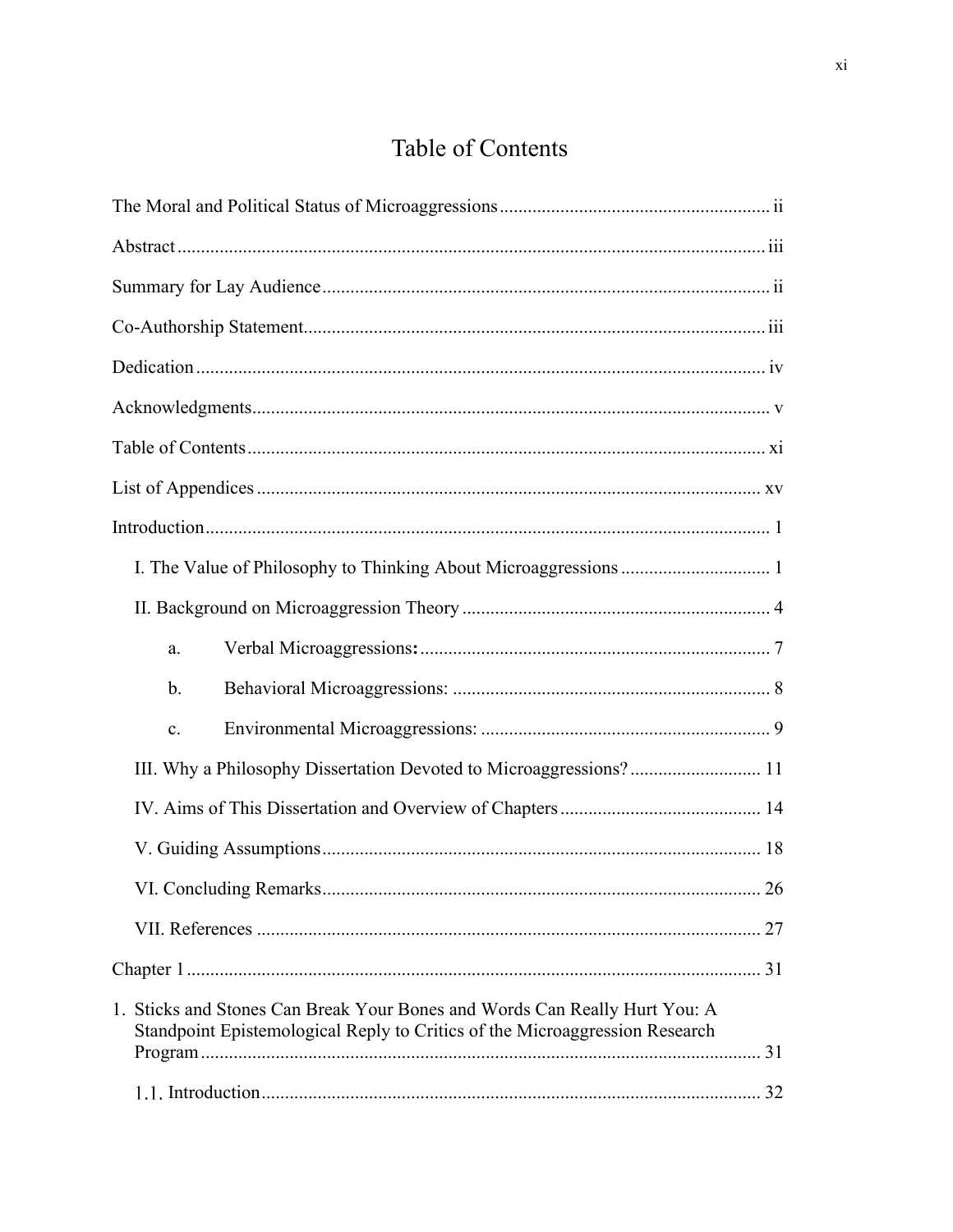## Table of Contents

| a.                                                                                                                                                        |    |
|-----------------------------------------------------------------------------------------------------------------------------------------------------------|----|
| $\mathbf b$ .                                                                                                                                             |    |
| c.                                                                                                                                                        |    |
| III. Why a Philosophy Dissertation Devoted to Microaggressions? 11                                                                                        |    |
|                                                                                                                                                           |    |
|                                                                                                                                                           |    |
|                                                                                                                                                           | 26 |
|                                                                                                                                                           |    |
|                                                                                                                                                           |    |
| 1. Sticks and Stones Can Break Your Bones and Words Can Really Hurt You: A<br>Standpoint Epistemological Reply to Critics of the Microaggression Research |    |
|                                                                                                                                                           |    |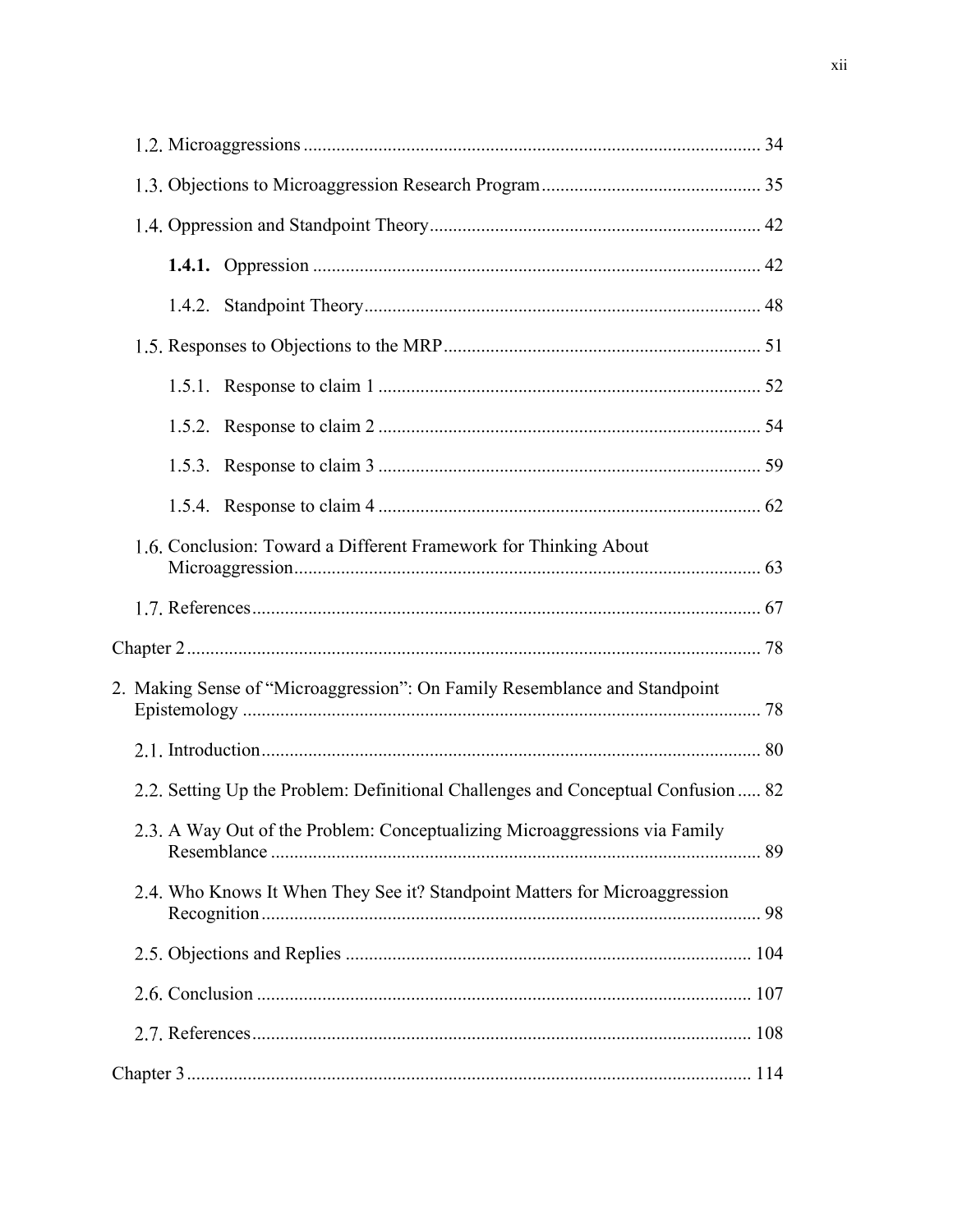| 1.6. Conclusion: Toward a Different Framework for Thinking About                 |  |
|----------------------------------------------------------------------------------|--|
|                                                                                  |  |
|                                                                                  |  |
| 2. Making Sense of "Microaggression": On Family Resemblance and Standpoint       |  |
|                                                                                  |  |
| 2.2. Setting Up the Problem: Definitional Challenges and Conceptual Confusion 82 |  |
| 2.3. A Way Out of the Problem: Conceptualizing Microaggressions via Family       |  |
| 2.4. Who Knows It When They See it? Standpoint Matters for Microaggression       |  |
|                                                                                  |  |
|                                                                                  |  |
|                                                                                  |  |
|                                                                                  |  |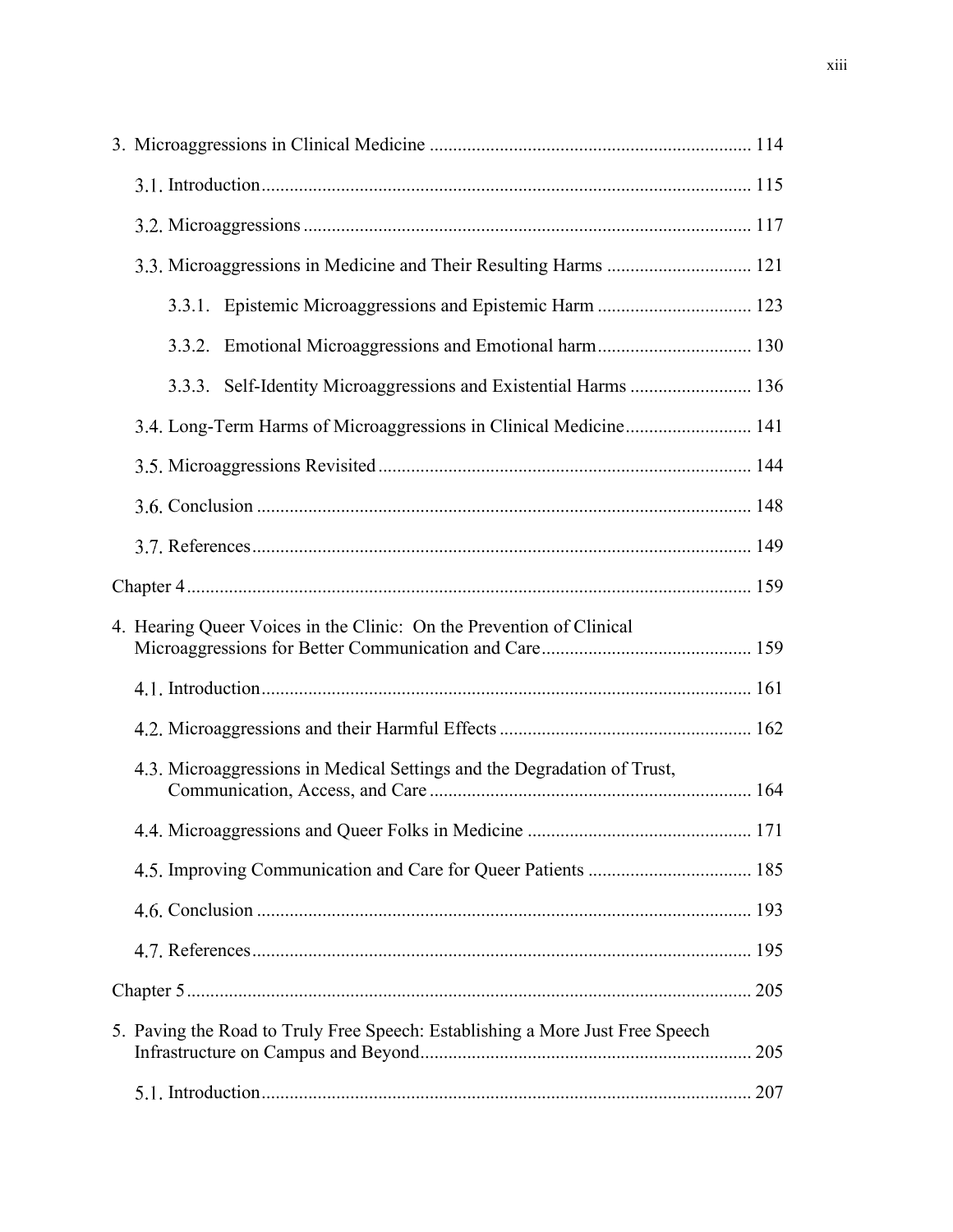| 3.3. Microaggressions in Medicine and Their Resulting Harms  121              |     |
|-------------------------------------------------------------------------------|-----|
| 3.3.1. Epistemic Microaggressions and Epistemic Harm  123                     |     |
|                                                                               |     |
| 3.3.3. Self-Identity Microaggressions and Existential Harms  136              |     |
| 3.4. Long-Term Harms of Microaggressions in Clinical Medicine 141             |     |
|                                                                               |     |
|                                                                               |     |
|                                                                               |     |
|                                                                               |     |
| 4. Hearing Queer Voices in the Clinic: On the Prevention of Clinical          |     |
|                                                                               |     |
|                                                                               |     |
| 4.3. Microaggressions in Medical Settings and the Degradation of Trust,       |     |
|                                                                               |     |
|                                                                               |     |
|                                                                               |     |
|                                                                               |     |
|                                                                               |     |
| 5. Paving the Road to Truly Free Speech: Establishing a More Just Free Speech | 205 |
|                                                                               | 207 |